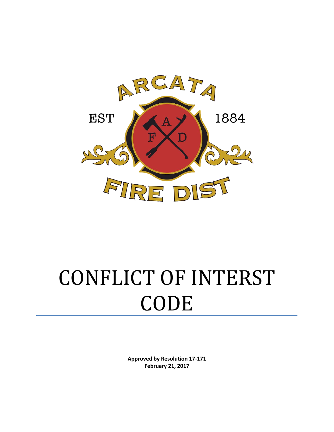

# CONFLICT OF INTERST CODE

**Approved by Resolution 17-171 February 21, 2017**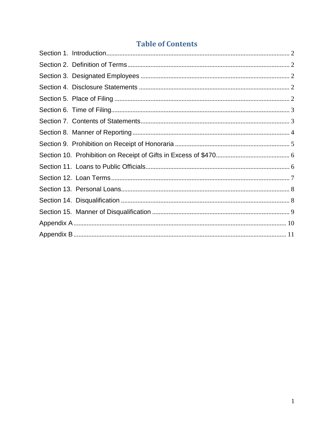# **Table of Contents**

<span id="page-1-0"></span>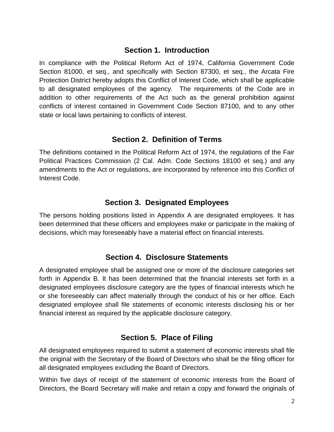#### **Section 1. Introduction**

In compliance with the Political Reform Act of 1974, California Government Code Section 81000, et seq., and specifically with Section 87300, et seq., the Arcata Fire Protection District hereby adopts this Conflict of Interest Code, which shall be applicable to all designated employees of the agency. The requirements of the Code are in addition to other requirements of the Act such as the general prohibition against conflicts of interest contained in Government Code Section 87100, and to any other state or local laws pertaining to conflicts of interest.

#### **Section 2. Definition of Terms**

<span id="page-2-0"></span>The definitions contained in the Political Reform Act of 1974, the regulations of the Fair Political Practices Commission (2 Cal. Adm. Code Sections 18100 et seq.) and any amendments to the Act or regulations, are incorporated by reference into this Conflict of Interest Code.

### **Section 3. Designated Employees**

<span id="page-2-1"></span>The persons holding positions listed in Appendix A are designated employees. It has been determined that these officers and employees make or participate in the making of decisions, which may foreseeably have a material effect on financial interests.

### **Section 4. Disclosure Statements**

<span id="page-2-2"></span>A designated employee shall be assigned one or more of the disclosure categories set forth in Appendix B. It has been determined that the financial interests set forth in a designated employees disclosure category are the types of financial interests which he or she foreseeably can affect materially through the conduct of his or her office. Each designated employee shall file statements of economic interests disclosing his or her financial interest as required by the applicable disclosure category.

### **Section 5. Place of Filing**

<span id="page-2-3"></span>All designated employees required to submit a statement of economic interests shall file the original with the Secretary of the Board of Directors who shall be the filing officer for all designated employees excluding the Board of Directors.

Within five days of receipt of the statement of economic interests from the Board of Directors, the Board Secretary will make and retain a copy and forward the originals of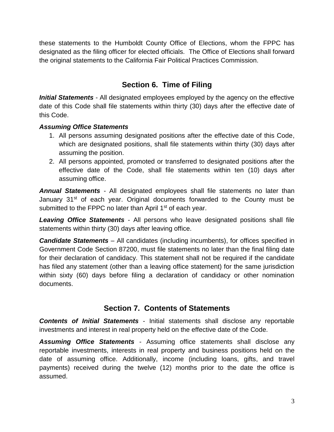these statements to the Humboldt County Office of Elections, whom the FPPC has designated as the filing officer for elected officials. The Office of Elections shall forward the original statements to the California Fair Political Practices Commission.

# **Section 6. Time of Filing**

<span id="page-3-0"></span>*Initial Statements* - All designated employees employed by the agency on the effective date of this Code shall file statements within thirty (30) days after the effective date of this Code.

#### *Assuming Office Statements*

- 1. All persons assuming designated positions after the effective date of this Code, which are designated positions, shall file statements within thirty (30) days after assuming the position.
- 2. All persons appointed, promoted or transferred to designated positions after the effective date of the Code, shall file statements within ten (10) days after assuming office.

*Annual Statements* - All designated employees shall file statements no later than January  $31<sup>st</sup>$  of each year. Original documents forwarded to the County must be submitted to the FPPC no later than April 1<sup>st</sup> of each year.

*Leaving Office Statements* - All persons who leave designated positions shall file statements within thirty (30) days after leaving office.

*Candidate Statements* – All candidates (including incumbents), for offices specified in Government Code Section 87200, must file statements no later than the final filing date for their declaration of candidacy. This statement shall not be required if the candidate has filed any statement (other than a leaving office statement) for the same jurisdiction within sixty (60) days before filing a declaration of candidacy or other nomination documents.

### **Section 7. Contents of Statements**

<span id="page-3-1"></span>*Contents of Initial Statements* - Initial statements shall disclose any reportable investments and interest in real property held on the effective date of the Code.

*Assuming Office Statements* - Assuming office statements shall disclose any reportable investments, interests in real property and business positions held on the date of assuming office. Additionally, income (including loans, gifts, and travel payments) received during the twelve (12) months prior to the date the office is assumed.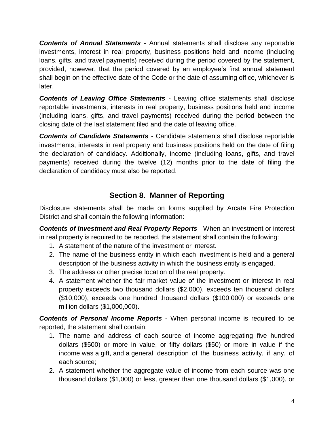*Contents of Annual Statements* - Annual statements shall disclose any reportable investments, interest in real property, business positions held and income (including loans, gifts, and travel payments) received during the period covered by the statement, provided, however, that the period covered by an employee's first annual statement shall begin on the effective date of the Code or the date of assuming office, whichever is later.

*Contents of Leaving Office Statements* - Leaving office statements shall disclose reportable investments, interests in real property, business positions held and income (including loans, gifts, and travel payments) received during the period between the closing date of the last statement filed and the date of leaving office.

*Contents of Candidate Statements* - Candidate statements shall disclose reportable investments, interests in real property and business positions held on the date of filing the declaration of candidacy. Additionally, income (including loans, gifts, and travel payments) received during the twelve (12) months prior to the date of filing the declaration of candidacy must also be reported.

# **Section 8. Manner of Reporting**

<span id="page-4-0"></span>Disclosure statements shall be made on forms supplied by Arcata Fire Protection District and shall contain the following information:

*Contents of Investment and Real Property Reports* - When an investment or interest in real property is required to be reported, the statement shall contain the following:

- 1. A statement of the nature of the investment or interest.
- 2. The name of the business entity in which each investment is held and a general description of the business activity in which the business entity is engaged.
- 3. The address or other precise location of the real property.
- 4. A statement whether the fair market value of the investment or interest in real property exceeds two thousand dollars (\$2,000), exceeds ten thousand dollars (\$10,000), exceeds one hundred thousand dollars (\$100,000) or exceeds one million dollars (\$1,000,000).

*Contents of Personal Income Reports* - When personal income is required to be reported, the statement shall contain:

- 1. The name and address of each source of income aggregating five hundred dollars (\$500) or more in value, or fifty dollars (\$50) or more in value if the income was a gift, and a general description of the business activity, if any, of each source;
- 2. A statement whether the aggregate value of income from each source was one thousand dollars (\$1,000) or less, greater than one thousand dollars (\$1,000), or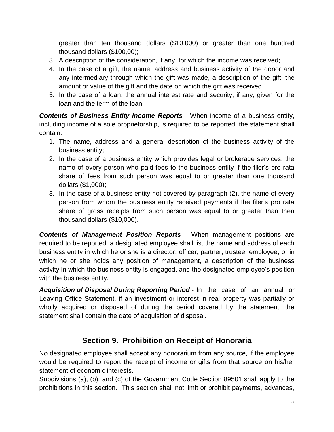greater than ten thousand dollars (\$10,000) or greater than one hundred thousand dollars (\$100,00);

- 3. A description of the consideration, if any, for which the income was received;
- 4. In the case of a gift, the name, address and business activity of the donor and any intermediary through which the gift was made, a description of the gift, the amount or value of the gift and the date on which the gift was received.
- 5. In the case of a loan, the annual interest rate and security, if any, given for the loan and the term of the loan.

*Contents of Business Entity Income Reports* - When income of a business entity, including income of a sole proprietorship, is required to be reported, the statement shall contain:

- 1. The name, address and a general description of the business activity of the business entity;
- 2. In the case of a business entity which provides legal or brokerage services, the name of every person who paid fees to the business entity if the filer's pro rata share of fees from such person was equal to or greater than one thousand dollars (\$1,000);
- 3. In the case of a business entity not covered by paragraph (2), the name of every person from whom the business entity received payments if the filer's pro rata share of gross receipts from such person was equal to or greater than then thousand dollars (\$10,000).

*Contents of Management Position Reports* - When management positions are required to be reported, a designated employee shall list the name and address of each business entity in which he or she is a director, officer, partner, trustee, employee, or in which he or she holds any position of management, a description of the business activity in which the business entity is engaged, and the designated employee's position with the business entity.

*Acquisition of Disposal During Reporting Period* - In the case of an annual or Leaving Office Statement, if an investment or interest in real property was partially or wholly acquired or disposed of during the period covered by the statement, the statement shall contain the date of acquisition of disposal.

# **Section 9. Prohibition on Receipt of Honoraria**

<span id="page-5-0"></span>No designated employee shall accept any honorarium from any source, if the employee would be required to report the receipt of income or gifts from that source on his/her statement of economic interests.

Subdivisions (a), (b), and (c) of the Government Code Section 89501 shall apply to the prohibitions in this section. This section shall not limit or prohibit payments, advances,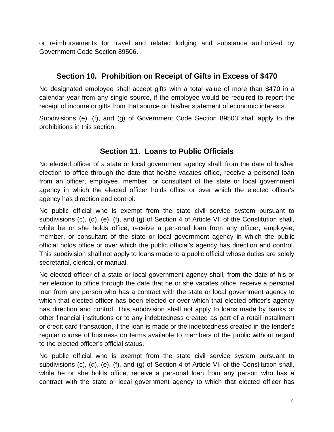or reimbursements for travel and related lodging and substance authorized by Government Code Section 89506.

## <span id="page-6-0"></span>**Section 10. Prohibition on Receipt of Gifts in Excess of \$470**

No designated employee shall accept gifts with a total value of more than \$470 in a calendar year from any single source, if the employee would be required to report the receipt of income or gifts from that source on his/her statement of economic interests.

Subdivisions (e), (f), and (g) of Government Code Section 89503 shall apply to the prohibitions in this section.

# **Section 11. Loans to Public Officials**

<span id="page-6-1"></span>No elected officer of a state or local government agency shall, from the date of his/her election to office through the date that he/she vacates office, receive a personal loan from an officer, employee, member, or consultant of the state or local government agency in which the elected officer holds office or over which the elected officer's agency has direction and control.

No public official who is exempt from the state civil service system pursuant to subdivisions (c), (d), (e), (f), and (g) of Section 4 of Article VII of the Constitution shall, while he or she holds office, receive a personal loan from any officer, employee, member, or consultant of the state or local government agency in which the public official holds office or over which the public official's agency has direction and control. This subdivision shall not apply to loans made to a public official whose duties are solely secretarial, clerical, or manual.

No elected officer of a state or local government agency shall, from the date of his or her election to office through the date that he or she vacates office, receive a personal loan from any person who has a contract with the state or local government agency to which that elected officer has been elected or over which that elected officer's agency has direction and control. This subdivision shall not apply to loans made by banks or other financial institutions or to any indebtedness created as part of a retail installment or credit card transaction, if the loan is made or the indebtedness created in the lender's regular course of business on terms available to members of the public without regard to the elected officer's official status.

No public official who is exempt from the state civil service system pursuant to subdivisions (c), (d), (e), (f), and (g) of Section 4 of Article VII of the Constitution shall, while he or she holds office, receive a personal loan from any person who has a contract with the state or local government agency to which that elected officer has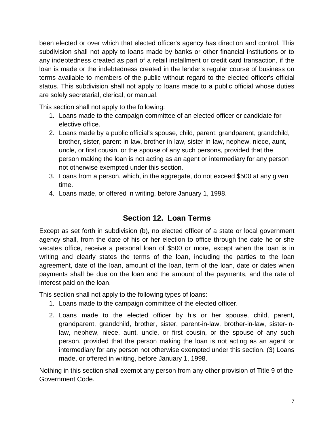been elected or over which that elected officer's agency has direction and control. This subdivision shall not apply to loans made by banks or other financial institutions or to any indebtedness created as part of a retail installment or credit card transaction, if the loan is made or the indebtedness created in the lender's regular course of business on terms available to members of the public without regard to the elected officer's official status. This subdivision shall not apply to loans made to a public official whose duties are solely secretarial, clerical, or manual.

This section shall not apply to the following:

- 1. Loans made to the campaign committee of an elected officer or candidate for elective office.
- 2. Loans made by a public official's spouse, child, parent, grandparent, grandchild, brother, sister, parent-in-law, brother-in-law, sister-in-law, nephew, niece, aunt, uncle, or first cousin, or the spouse of any such persons, provided that the person making the loan is not acting as an agent or intermediary for any person not otherwise exempted under this section.
- 3. Loans from a person, which, in the aggregate, do not exceed \$500 at any given time.
- 4. Loans made, or offered in writing, before January 1, 1998.

# **Section 12. Loan Terms**

<span id="page-7-0"></span>Except as set forth in subdivision (b), no elected officer of a state or local government agency shall, from the date of his or her election to office through the date he or she vacates office, receive a personal loan of \$500 or more, except when the loan is in writing and clearly states the terms of the loan, including the parties to the loan agreement, date of the loan, amount of the loan, term of the loan, date or dates when payments shall be due on the loan and the amount of the payments, and the rate of interest paid on the loan.

This section shall not apply to the following types of loans:

- 1. Loans made to the campaign committee of the elected officer.
- 2. Loans made to the elected officer by his or her spouse, child, parent, grandparent, grandchild, brother, sister, parent-in-law, brother-in-law, sister-inlaw, nephew, niece, aunt, uncle, or first cousin, or the spouse of any such person, provided that the person making the loan is not acting as an agent or intermediary for any person not otherwise exempted under this section. (3) Loans made, or offered in writing, before January 1, 1998.

Nothing in this section shall exempt any person from any other provision of Title 9 of the Government Code.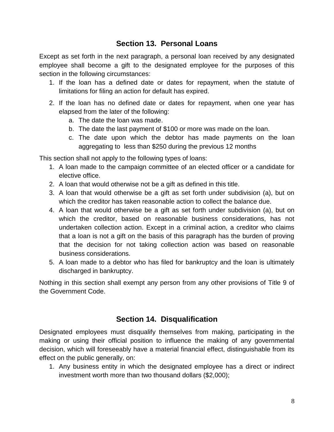### **Section 13. Personal Loans**

<span id="page-8-0"></span>Except as set forth in the next paragraph, a personal loan received by any designated employee shall become a gift to the designated employee for the purposes of this section in the following circumstances:

- 1. If the loan has a defined date or dates for repayment, when the statute of limitations for filing an action for default has expired.
- 2. If the loan has no defined date or dates for repayment, when one year has elapsed from the later of the following:
	- a. The date the loan was made.
	- b. The date the last payment of \$100 or more was made on the loan.
	- c. The date upon which the debtor has made payments on the loan aggregating to less than \$250 during the previous 12 months

This section shall not apply to the following types of loans:

- 1. A loan made to the campaign committee of an elected officer or a candidate for elective office.
- 2. A loan that would otherwise not be a gift as defined in this title.
- 3. A loan that would otherwise be a gift as set forth under subdivision (a), but on which the creditor has taken reasonable action to collect the balance due.
- 4. A loan that would otherwise be a gift as set forth under subdivision (a), but on which the creditor, based on reasonable business considerations, has not undertaken collection action. Except in a criminal action, a creditor who claims that a loan is not a gift on the basis of this paragraph has the burden of proving that the decision for not taking collection action was based on reasonable business considerations.
- 5. A loan made to a debtor who has filed for bankruptcy and the loan is ultimately discharged in bankruptcy.

Nothing in this section shall exempt any person from any other provisions of Title 9 of the Government Code.

### **Section 14. Disqualification**

<span id="page-8-1"></span>Designated employees must disqualify themselves from making, participating in the making or using their official position to influence the making of any governmental decision, which will foreseeably have a material financial effect, distinguishable from its effect on the public generally, on:

1. Any business entity in which the designated employee has a direct or indirect investment worth more than two thousand dollars (\$2,000);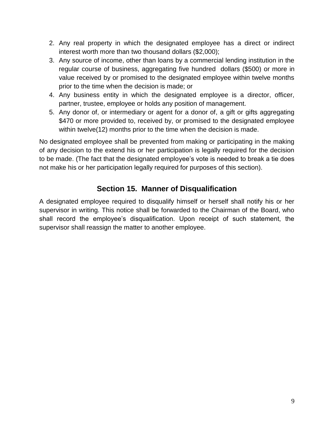- 2. Any real property in which the designated employee has a direct or indirect interest worth more than two thousand dollars (\$2,000);
- 3. Any source of income, other than loans by a commercial lending institution in the regular course of business, aggregating five hundred dollars (\$500) or more in value received by or promised to the designated employee within twelve months prior to the time when the decision is made; or
- 4. Any business entity in which the designated employee is a director, officer, partner, trustee, employee or holds any position of management.
- 5. Any donor of, or intermediary or agent for a donor of, a gift or gifts aggregating \$470 or more provided to, received by, or promised to the designated employee within twelve(12) months prior to the time when the decision is made.

No designated employee shall be prevented from making or participating in the making of any decision to the extend his or her participation is legally required for the decision to be made. (The fact that the designated employee's vote is needed to break a tie does not make his or her participation legally required for purposes of this section).

# **Section 15. Manner of Disqualification**

<span id="page-9-0"></span>A designated employee required to disqualify himself or herself shall notify his or her supervisor in writing. This notice shall be forwarded to the Chairman of the Board, who shall record the employee's disqualification. Upon receipt of such statement, the supervisor shall reassign the matter to another employee.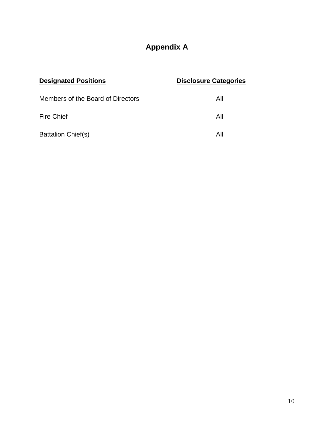# **Appendix A**

<span id="page-10-0"></span>

| <b>Designated Positions</b>       | <b>Disclosure Categories</b> |
|-----------------------------------|------------------------------|
| Members of the Board of Directors | All                          |
| Fire Chief                        | All                          |
| <b>Battalion Chief(s)</b>         | All                          |